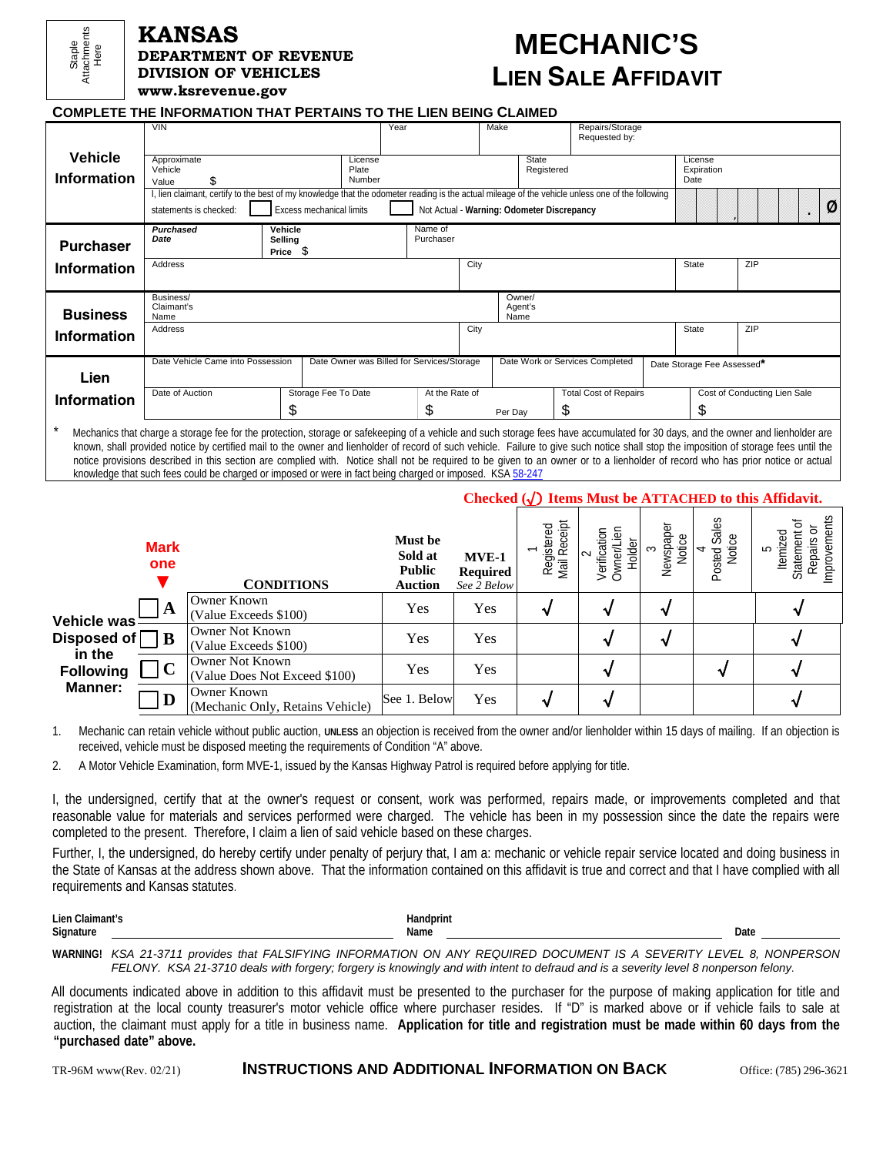

#### **KANSAS DEPARTMENT OF REVENUE DIVISION OF VEHICLES www.ksrevenue.gov**

# **MECHANIC'S LIEN SALE AFFIDAVIT**

**COMPLETE THE INFORMATION THAT PERTAINS TO THE LIEN BEING CLAIMED**

| <b>Vehicle</b><br><b>Information</b> | <b>VIN</b><br>Approximate<br>Vehicle<br>\$.<br>Value                                                                                                                                                                                                     |                                     | Year<br>License<br>Plate<br>Number | Make                            | State<br>Registered | Repairs/Storage<br>Requested by: |     | License<br>Expiration<br>Date |                              |   |
|--------------------------------------|----------------------------------------------------------------------------------------------------------------------------------------------------------------------------------------------------------------------------------------------------------|-------------------------------------|------------------------------------|---------------------------------|---------------------|----------------------------------|-----|-------------------------------|------------------------------|---|
|                                      | lien claimant, certify to the best of my knowledge that the odometer reading is the actual mileage of the vehicle unless one of the following<br><b>Excess mechanical limits</b><br>Not Actual - Warning: Odometer Discrepancy<br>statements is checked: |                                     |                                    |                                 |                     |                                  |     |                               |                              | Ø |
| <b>Purchaser</b>                     | Purchased<br>Date                                                                                                                                                                                                                                        | Vehicle<br>Selling<br>- \$<br>Price | Name of<br>Purchaser               |                                 |                     |                                  |     |                               |                              |   |
| <b>Information</b>                   | Address                                                                                                                                                                                                                                                  |                                     |                                    | City                            |                     |                                  |     | State                         | ZIP                          |   |
| <b>Business</b>                      | Business/<br>Claimant's<br>Name                                                                                                                                                                                                                          |                                     |                                    | Owner/<br>Agent's<br>Name       |                     |                                  |     |                               |                              |   |
| <b>Information</b>                   | Address                                                                                                                                                                                                                                                  | City                                |                                    |                                 |                     | State                            | ZIP |                               |                              |   |
| Lien                                 | Date Owner was Billed for Services/Storage<br>Date Vehicle Came into Possession                                                                                                                                                                          |                                     |                                    | Date Work or Services Completed |                     |                                  |     | Date Storage Fee Assessed*    |                              |   |
| <b>Information</b>                   | Date of Auction                                                                                                                                                                                                                                          | Storage Fee To Date<br>S            | At the Rate of<br>\$               | Per Day                         | S                   | <b>Total Cost of Repairs</b>     |     | \$                            | Cost of Conducting Lien Sale |   |
|                                      | Machanics that charge a storage foo for the protection storage or safekeeping of a vehicle and such storage fees have accumulated for 20 days, and the owner and lienholder are                                                                          |                                     |                                    |                                 |                     |                                  |     |                               |                              |   |

\* Mechanics that charge a storage fee for the protection, storage or safekeeping of a vehicle and such storage fees have accumulated for 30 days, and the owner and lienholder are known, shall provided notice by certified mail to the owner and lienholder of record of such vehicle. Failure to give such notice shall stop the imposition of storage fees until the notice provisions described in this section are complied with. Notice shall not be required to be given to an owner or to a lienholder of record who has prior notice or actual knowledge that such fees could be charged or imposed or were in fact being charged or imposed. KSA [58-247](http://www.kslegislature.org/legsrv-statutes/getStatute.do?number=21872)

#### **Checked (**√) **Items Must be ATTACHED to this Affidavit.**

|                                                                                            | <b>Mark</b><br>one | <b>CONDITIONS</b>                                       | Must be<br>Sold at<br><b>Public</b><br><b>Auction</b> | $MVE-1$<br><b>Required</b><br>See 2 Below | $e$ ipt<br>Registered<br>Mail Receipt | Verification<br>Holder<br>Owner/L | Newspaper<br>Notice<br>$\infty$ | Sales<br>Notice<br>4<br>Posted | ents<br>ਠ<br>ᄝ<br>Θm<br>temize<br>S<br>pai<br>Improve<br>ÖΟ |
|--------------------------------------------------------------------------------------------|--------------------|---------------------------------------------------------|-------------------------------------------------------|-------------------------------------------|---------------------------------------|-----------------------------------|---------------------------------|--------------------------------|-------------------------------------------------------------|
| <b>Vehicle was</b><br>Disposed of $\Box$ B<br>in the<br><b>Following</b><br><b>Manner:</b> | 1A                 | Owner Known<br>(Value Exceeds \$100)                    | Yes                                                   | Yes                                       |                                       |                                   |                                 |                                |                                                             |
|                                                                                            |                    | <b>Owner Not Known</b><br>(Value Exceeds \$100)         | Yes                                                   | Yes                                       |                                       |                                   |                                 |                                |                                                             |
|                                                                                            | $\mathbf C$        | <b>Owner Not Known</b><br>(Value Does Not Exceed \$100) | Yes                                                   | Yes                                       |                                       |                                   |                                 |                                |                                                             |
|                                                                                            | D                  | Owner Known<br>(Mechanic Only, Retains Vehicle)         | See 1. Below                                          | Yes                                       |                                       |                                   |                                 |                                |                                                             |

1. Mechanic can retain vehicle without public auction, **UNLESS** an objection is received from the owner and/or lienholder within 15 days of mailing. If an objection is received, vehicle must be disposed meeting the requirements of Condition "A" above.

2. A Motor Vehicle Examination, form MVE-1, issued by the Kansas Highway Patrol is required before applying for title.

I, the undersigned, certify that at the owner's request or consent, work was performed, repairs made, or improvements completed and that reasonable value for materials and services performed were charged. The vehicle has been in my possession since the date the repairs were completed to the present. Therefore, I claim a lien of said vehicle based on these charges.

Further, I, the undersigned, do hereby certify under penalty of perjury that, I am a: mechanic or vehicle repair service located and doing business in the State of Kansas at the address shown above. That the information contained on this affidavit is true and correct and that I have complied with all requirements and Kansas statutes.

Lien Claimant's **Handprint Handprint Handprint Signature Name Date** 

**WARNING!** *KSA 21-3711 provides that FALSIFYING INFORMATION ON ANY REQUIRED DOCUMENT IS A SEVERITY LEVEL 8, NONPERSON FELONY. KSA 21-3710 deals with forgery; forgery is knowingly and with intent to defraud and is a severity level 8 nonperson felony*.

All documents indicated above in addition to this affidavit must be presented to the purchaser for the purpose of making application for title and registration at the local county treasurer's motor vehicle office where purchaser resides. If "D" is marked above or if vehicle fails to sale at auction, the claimant must apply for a title in business name. **Application for title and registration must be made within** 6**0 days from the "purchased date" above.**

TR-96M www(Rev. 02/21) **INSTRUCTIONS AND ADDITIONAL INFORMATION ON BACK** Office: (785) 296-3621